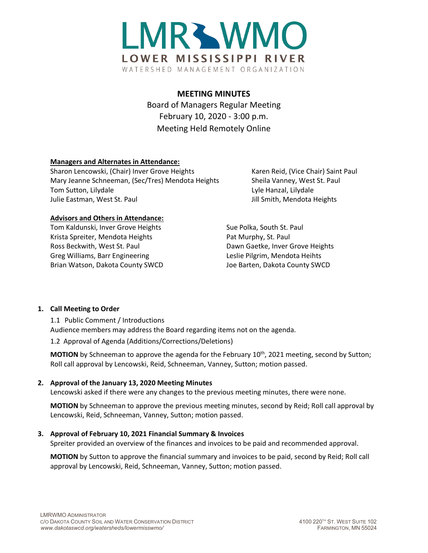

# **MEETING MINUTES**

Board of Managers Regular Meeting February 10, 2020 - 3:00 p.m. Meeting Held Remotely Online

## **Managers and Alternates in Attendance:**

Sharon Lencowski, (Chair) Inver Grove Heights Karen Reid, (Vice Chair) Saint Paul Mary Jeanne Schneeman, (Sec/Tres) Mendota Heights Sheila Vanney, West St. Paul Tom Sutton, Lilydale Lyle Hanzal, Lilydale Lyle Hanzal, Lilydale Julie Eastman, West St. Paul Julie Eastman, West St. Paul Julie St. And Julie Smith, Mendota Heights

#### **Advisors and Others in Attendance:**

Tom Kaldunski, Inver Grove Heights Sue Polka, South St. Paul Krista Spreiter, Mendota Heights **Pat Murphy, St. Paul** Ross Beckwith, West St. Paul **Dawn Gaetke, Inver Grove Heights** Greg Williams, Barr Engineering Leslie Pilgrim, Mendota Heihts Brian Watson, Dakota County SWCD Joe Barten, Dakota County SWCD

#### **1. Call Meeting to Order**

1.1 Public Comment / Introductions Audience members may address the Board regarding items not on the agenda.

1.2 Approval of Agenda (Additions/Corrections/Deletions)

**MOTION** by Schneeman to approve the agenda for the February 10<sup>th</sup>, 2021 meeting, second by Sutton; Roll call approval by Lencowski, Reid, Schneeman, Vanney, Sutton; motion passed.

#### **2. Approval of the January 13, 2020 Meeting Minutes**

Lencowski asked if there were any changes to the previous meeting minutes, there were none.

**MOTION** by Schneeman to approve the previous meeting minutes, second by Reid; Roll call approval by Lencowski, Reid, Schneeman, Vanney, Sutton; motion passed.

#### **3. Approval of February 10, 2021 Financial Summary & Invoices**

Spreiter provided an overview of the finances and invoices to be paid and recommended approval.

**MOTION** by Sutton to approve the financial summary and invoices to be paid, second by Reid; Roll call approval by Lencowski, Reid, Schneeman, Vanney, Sutton; motion passed.